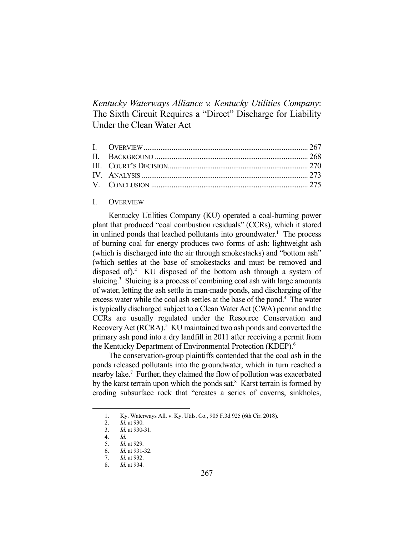*Kentucky Waterways Alliance v. Kentucky Utilities Company*: The Sixth Circuit Requires a "Direct" Discharge for Liability Under the Clean Water Act

#### I. OVERVIEW

 Kentucky Utilities Company (KU) operated a coal-burning power plant that produced "coal combustion residuals" (CCRs), which it stored in unlined ponds that leached pollutants into groundwater.<sup>1</sup> The process of burning coal for energy produces two forms of ash: lightweight ash (which is discharged into the air through smokestacks) and "bottom ash" (which settles at the base of smokestacks and must be removed and disposed of).<sup>2</sup> KU disposed of the bottom ash through a system of sluicing.<sup>3</sup> Sluicing is a process of combining coal ash with large amounts of water, letting the ash settle in man-made ponds, and discharging of the excess water while the coal ash settles at the base of the pond. 4 The water is typically discharged subject to a Clean Water Act (CWA) permit and the CCRs are usually regulated under the Resource Conservation and Recovery Act (RCRA).<sup>5</sup> KU maintained two ash ponds and converted the primary ash pond into a dry landfill in 2011 after receiving a permit from the Kentucky Department of Environmental Protection (KDEP).<sup>6</sup>

 The conservation-group plaintiffs contended that the coal ash in the ponds released pollutants into the groundwater, which in turn reached a nearby lake.<sup>7</sup> Further, they claimed the flow of pollution was exacerbated by the karst terrain upon which the ponds sat.<sup>8</sup> Karst terrain is formed by eroding subsurface rock that "creates a series of caverns, sinkholes,

 <sup>1.</sup> Ky. Waterways All. v. Ky. Utils. Co., 905 F.3d 925 (6th Cir. 2018).

 <sup>2.</sup> *Id.* at 930.

 <sup>3.</sup> *Id.* at 930-31.

 <sup>4.</sup> *Id.*

 <sup>5.</sup> *Id.* at 929.

 <sup>6.</sup> *Id.* at 931-32.

 <sup>7.</sup> *Id.* at 932.

 <sup>8.</sup> *Id.* at 934.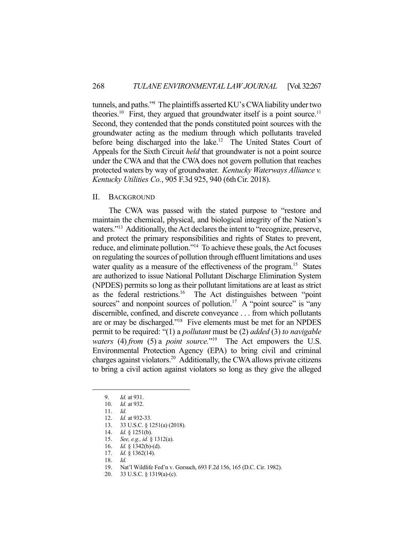tunnels, and paths."9 The plaintiffs asserted KU's CWA liability under two theories.<sup>10</sup> First, they argued that groundwater itself is a point source.<sup>11</sup> Second, they contended that the ponds constituted point sources with the groundwater acting as the medium through which pollutants traveled before being discharged into the lake.<sup>12</sup> The United States Court of Appeals for the Sixth Circuit *held* that groundwater is not a point source under the CWA and that the CWA does not govern pollution that reaches protected waters by way of groundwater. *Kentucky Waterways Alliance v. Kentucky Utilities Co.*, 905 F.3d 925, 940 (6thCir. 2018).

# II. BACKGROUND

 The CWA was passed with the stated purpose to "restore and maintain the chemical, physical, and biological integrity of the Nation's waters."<sup>13</sup> Additionally, the Act declares the intent to "recognize, preserve, and protect the primary responsibilities and rights of States to prevent, reduce, and eliminate pollution."14 To achieve these goals, the Act focuses on regulating the sources of pollution through effluent limitations and uses water quality as a measure of the effectiveness of the program.<sup>15</sup> States are authorized to issue National Pollutant Discharge Elimination System (NPDES) permits so long as their pollutant limitations are at least as strict as the federal restrictions.<sup>16</sup> The Act distinguishes between "point" sources" and nonpoint sources of pollution.<sup>17</sup> A "point source" is "any discernible, confined, and discrete conveyance . . . from which pollutants are or may be discharged."18 Five elements must be met for an NPDES permit to be required: "(1) a *pollutant* must be (2) *added* (3) *to navigable waters* (4) *from* (5) a *point source.*"19 The Act empowers the U.S. Environmental Protection Agency (EPA) to bring civil and criminal charges against violators.<sup>20</sup> Additionally, the CWA allows private citizens to bring a civil action against violators so long as they give the alleged

- 17. *Id.* § 1362(14).
- 18. *Id.*

 <sup>9.</sup> *Id.* at 931.

 <sup>10.</sup> *Id.* at 932.

 <sup>11.</sup> *Id.*

 <sup>12.</sup> *Id.* at 932-33.

 <sup>13. 33</sup> U.S.C. § 1251(a) (2018).

<sup>13. 33</sup> U.S.C. § 1.<br>14. *Id.* § 1251(b).

 <sup>15.</sup> *See, e.g., id.* § 1312(a).

 <sup>16.</sup> *Id.* § 1342(b)-(d).

 <sup>19.</sup> Nat'l Wildlife Fed'n v. Gorsuch, 693 F.2d 156, 165 (D.C. Cir. 1982).

 <sup>20. 33</sup> U.S.C. § 1319(a)-(c).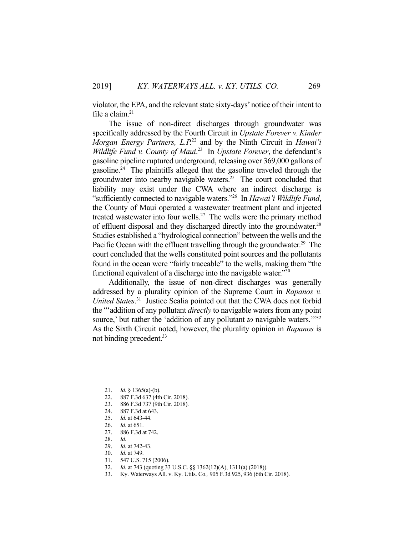violator, the EPA, and the relevant state sixty-days' notice of their intent to file a claim. $21$ 

 The issue of non-direct discharges through groundwater was specifically addressed by the Fourth Circuit in *Upstate Forever v. Kinder Morgan Energy Partners, L.P.*22 and by the Ninth Circuit in *Hawai'i Wildlife Fund v. County of Maui*. 23 In *Upstate Forever*, the defendant's gasoline pipeline ruptured underground, releasing over 369,000 gallons of gasoline.<sup>24</sup> The plaintiffs alleged that the gasoline traveled through the groundwater into nearby navigable waters.<sup>25</sup> The court concluded that liability may exist under the CWA where an indirect discharge is "sufficiently connected to navigable waters."26 In *Hawai'i Wildlife Fund*, the County of Maui operated a wastewater treatment plant and injected treated wastewater into four wells.<sup>27</sup> The wells were the primary method of effluent disposal and they discharged directly into the groundwater.<sup>28</sup> Studies established a "hydrological connection" between the wells and the Pacific Ocean with the effluent travelling through the groundwater.<sup>29</sup> The court concluded that the wells constituted point sources and the pollutants found in the ocean were "fairly traceable" to the wells, making them "the functional equivalent of a discharge into the navigable water."<sup>30</sup>

 Additionally, the issue of non-direct discharges was generally addressed by a plurality opinion of the Supreme Court in *Rapanos v. United States*. 31 Justice Scalia pointed out that the CWA does not forbid the "'addition of any pollutant *directly* to navigable waters from any point source,' but rather the 'addition of any pollutant *to* navigable waters.'"<sup>32</sup> As the Sixth Circuit noted, however, the plurality opinion in *Rapanos* is not binding precedent.<sup>33</sup>

- 22. 887 F.3d 637 (4th Cir. 2018).
- 23. 886 F.3d 737 (9th Cir. 2018).
- 24. 887 F.3d at 643.
- 25. *Id.* at 643-44.<br>26. *Id.* at 651.<br>27. 886 F.3d at 7.
- *Id.* at 651.
- 886 F.3d at 742.
- 28. *Id.*

<u>.</u>

- 29. *Id.* at 742-43.
- 30. *Id.* at 749.
- 31. 547 U.S. 715 (2006).
- 32. *Id.* at 743 (quoting 33 U.S.C. §§ 1362(12)(A), 1311(a) (2018)).
- 33. Ky. Waterways All. v. Ky. Utils. Co.*,* 905 F.3d 925, 936 (6th Cir. 2018).

 <sup>21.</sup> *Id.* § 1365(a)-(b).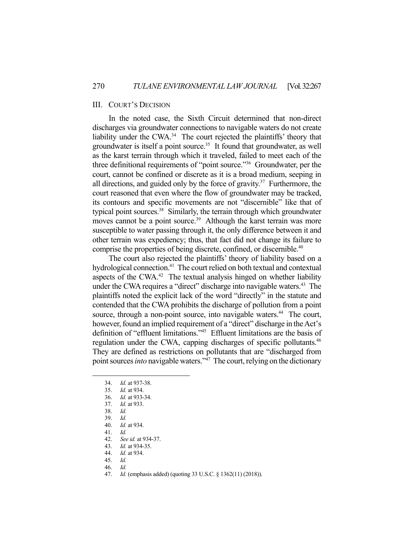## III. COURT'S DECISION

In the noted case, the Sixth Circuit determined that non-direct discharges via groundwater connections to navigable waters do not create liability under the CWA.<sup>34</sup> The court rejected the plaintiffs' theory that groundwater is itself a point source.<sup>35</sup> It found that groundwater, as well as the karst terrain through which it traveled, failed to meet each of the three definitional requirements of "point source."36 Groundwater, per the court, cannot be confined or discrete as it is a broad medium, seeping in all directions, and guided only by the force of gravity.<sup>37</sup> Furthermore, the court reasoned that even where the flow of groundwater may be tracked, its contours and specific movements are not "discernible" like that of typical point sources.<sup>38</sup> Similarly, the terrain through which groundwater moves cannot be a point source.<sup>39</sup> Although the karst terrain was more susceptible to water passing through it, the only difference between it and other terrain was expediency; thus, that fact did not change its failure to comprise the properties of being discrete, confined, or discernible.<sup>40</sup>

 The court also rejected the plaintiffs' theory of liability based on a hydrological connection.<sup>41</sup> The court relied on both textual and contextual aspects of the CWA. $42$  The textual analysis hinged on whether liability under the CWA requires a "direct" discharge into navigable waters.<sup>43</sup> The plaintiffs noted the explicit lack of the word "directly" in the statute and contended that the CWA prohibits the discharge of pollution from a point source, through a non-point source, into navigable waters.<sup>44</sup> The court, however, found an implied requirement of a "direct" discharge in the Act's definition of "effluent limitations."45 Effluent limitations are the basis of regulation under the CWA, capping discharges of specific pollutants.<sup>46</sup> They are defined as restrictions on pollutants that are "discharged from point sources *into* navigable waters."47 The court, relying on the dictionary

1

41. *Id.*

 <sup>34.</sup> *Id.* at 937-38.

 <sup>35.</sup> *Id.* at 934.

*Id.* at 933-34.

 <sup>37.</sup> *Id.* at 933.

 <sup>38.</sup> *Id.* 

 <sup>39.</sup> *Id.* 

 <sup>40.</sup> *Id.* at 934.

 <sup>42.</sup> *See id.* at 934-37.

 <sup>43.</sup> *Id.* at 934-35.

 <sup>44.</sup> *Id.* at 934.

 <sup>45.</sup> *Id.* 

 <sup>46.</sup> *Id.* 

 <sup>47.</sup> *Id.* (emphasis added) (quoting 33 U.S.C. § 1362(11) (2018)).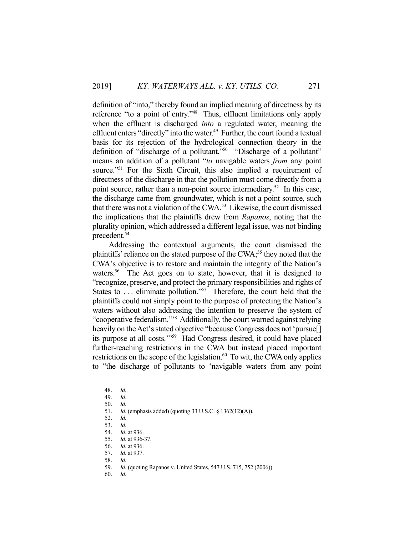definition of "into," thereby found an implied meaning of directness by its reference "to a point of entry."<sup>48</sup> Thus, effluent limitations only apply when the effluent is discharged *into* a regulated water, meaning the effluent enters "directly" into the water.<sup>49</sup> Further, the court found a textual basis for its rejection of the hydrological connection theory in the definition of "discharge of a pollutant."50 "Discharge of a pollutant" means an addition of a pollutant "*to* navigable waters *from* any point source."<sup>51</sup> For the Sixth Circuit, this also implied a requirement of directness of the discharge in that the pollution must come directly from a point source, rather than a non-point source intermediary.<sup>52</sup> In this case, the discharge came from groundwater, which is not a point source, such that there was not a violation of the CWA.<sup>53</sup> Likewise, the court dismissed the implications that the plaintiffs drew from *Rapanos*, noting that the plurality opinion, which addressed a different legal issue, was not binding precedent.54

 Addressing the contextual arguments, the court dismissed the plaintiffs' reliance on the stated purpose of the  $CWA$ <sup>55</sup> they noted that the CWA's objective is to restore and maintain the integrity of the Nation's waters.<sup>56</sup> The Act goes on to state, however, that it is designed to "recognize, preserve, and protect the primary responsibilities and rights of States to  $\dots$  eliminate pollution."<sup>57</sup> Therefore, the court held that the plaintiffs could not simply point to the purpose of protecting the Nation's waters without also addressing the intention to preserve the system of "cooperative federalism."58 Additionally, the court warned against relying heavily on the Act's stated objective "because Congress does not 'pursue<sup>[]</sup> its purpose at all costs.'"59 Had Congress desired, it could have placed further-reaching restrictions in the CWA but instead placed important restrictions on the scope of the legislation.<sup>60</sup> To wit, the CWA only applies to "the discharge of pollutants to 'navigable waters from any point

<u>.</u>

60. *Id.* 

 <sup>48.</sup> *Id.*

 <sup>49.</sup> *Id.*

 <sup>50.</sup> *Id.* 

 <sup>51.</sup> *Id.* (emphasis added) (quoting 33 U.S.C. § 1362(12)(A)).

 <sup>52.</sup> *Id.*

 <sup>53.</sup> *Id.* 

 <sup>54.</sup> *Id.* at 936.

 <sup>55.</sup> *Id.* at 936-37.

 <sup>56.</sup> *Id.* at 936.

 <sup>57.</sup> *Id.* at 937.

 <sup>58.</sup> *Id.*

 <sup>59.</sup> *Id.* (quoting Rapanos v. United States, 547 U.S. 715, 752 (2006)).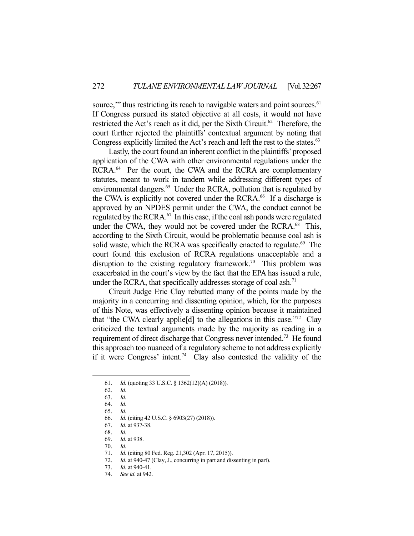source," thus restricting its reach to navigable waters and point sources. $61$ If Congress pursued its stated objective at all costs, it would not have restricted the Act's reach as it did, per the Sixth Circuit.<sup>62</sup> Therefore, the court further rejected the plaintiffs' contextual argument by noting that Congress explicitly limited the Act's reach and left the rest to the states.<sup>63</sup>

 Lastly, the court found an inherent conflict in the plaintiffs' proposed application of the CWA with other environmental regulations under the RCRA.<sup>64</sup> Per the court, the CWA and the RCRA are complementary statutes, meant to work in tandem while addressing different types of environmental dangers.<sup>65</sup> Under the RCRA, pollution that is regulated by the CWA is explicitly not covered under the RCRA.<sup>66</sup> If a discharge is approved by an NPDES permit under the CWA, the conduct cannot be regulated by the RCRA.<sup>67</sup> In this case, if the coal ash ponds were regulated under the CWA, they would not be covered under the RCRA.<sup>68</sup> This, according to the Sixth Circuit, would be problematic because coal ash is solid waste, which the RCRA was specifically enacted to regulate.<sup>69</sup> The court found this exclusion of RCRA regulations unacceptable and a disruption to the existing regulatory framework.<sup>70</sup> This problem was exacerbated in the court's view by the fact that the EPA has issued a rule, under the RCRA, that specifically addresses storage of coal ash. $71$ 

 Circuit Judge Eric Clay rebutted many of the points made by the majority in a concurring and dissenting opinion, which, for the purposes of this Note, was effectively a dissenting opinion because it maintained that "the CWA clearly applie<sup>[d]</sup> to the allegations in this case."<sup>72</sup> Clay criticized the textual arguments made by the majority as reading in a requirement of direct discharge that Congress never intended.<sup>73</sup> He found this approach too nuanced of a regulatory scheme to not address explicitly if it were Congress' intent.<sup>74</sup> Clay also contested the validity of the

1

70. *Id.* 

 <sup>61.</sup> *Id.* (quoting 33 U.S.C. § 1362(12)(A) (2018)).

 <sup>62.</sup> *Id.* 

 <sup>63.</sup> *Id.* 

 <sup>64.</sup> *Id.* 

 <sup>65.</sup> *Id.* 

 <sup>66.</sup> *Id.* (citing 42 U.S.C. § 6903(27) (2018)).

 <sup>67.</sup> *Id.* at 937-38.

 <sup>68.</sup> *Id.*

 <sup>69.</sup> *Id.* at 938.

 <sup>71.</sup> *Id.* (citing 80 Fed. Reg. 21,302 (Apr. 17, 2015)).

 <sup>72.</sup> *Id.* at 940-47 (Clay, J., concurring in part and dissenting in part).

 <sup>73.</sup> *Id.* at 940-41.

 <sup>74.</sup> *See id.* at 942.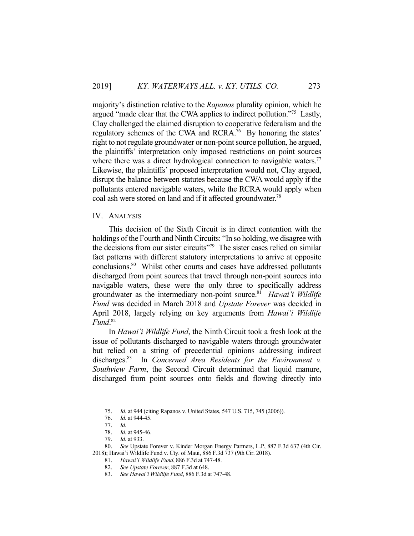majority's distinction relative to the *Rapanos* plurality opinion, which he argued "made clear that the CWA applies to indirect pollution."75 Lastly, Clay challenged the claimed disruption to cooperative federalism and the regulatory schemes of the CWA and RCRA.<sup>76</sup> By honoring the states' right to not regulate groundwater or non-point source pollution, he argued, the plaintiffs' interpretation only imposed restrictions on point sources where there was a direct hydrological connection to navigable waters.<sup>77</sup> Likewise, the plaintiffs' proposed interpretation would not, Clay argued, disrupt the balance between statutes because the CWA would apply if the pollutants entered navigable waters, while the RCRA would apply when coal ash were stored on land and if it affected groundwater.<sup>78</sup>

#### IV. ANALYSIS

This decision of the Sixth Circuit is in direct contention with the holdings of the Fourth and Ninth Circuits: "In so holding, we disagree with the decisions from our sister circuits<sup>"79</sup> The sister cases relied on similar fact patterns with different statutory interpretations to arrive at opposite conclusions.80 Whilst other courts and cases have addressed pollutants discharged from point sources that travel through non-point sources into navigable waters, these were the only three to specifically address groundwater as the intermediary non-point source.81 *Hawai'i Wildlife Fund* was decided in March 2018 and *Upstate Forever* was decided in April 2018, largely relying on key arguments from *Hawai'i Wildlife Fund*. 82

 In *Hawai'i Wildlife Fund*, the Ninth Circuit took a fresh look at the issue of pollutants discharged to navigable waters through groundwater but relied on a string of precedential opinions addressing indirect discharges.<sup>83</sup> In *Concerned Area Residents for the Environment v. Southview Farm*, the Second Circuit determined that liquid manure, discharged from point sources onto fields and flowing directly into

 <sup>75.</sup> *Id.* at 944 (citing Rapanos v. United States, 547 U.S. 715, 745 (2006)).

*Id.* at 944-45.

 <sup>77.</sup> *Id.*

 <sup>78.</sup> *Id.* at 945-46.

 <sup>79.</sup> *Id.* at 933.

 <sup>80.</sup> *See* Upstate Forever v. Kinder Morgan Energy Partners, L.P, 887 F.3d 637 (4th Cir. 2018); Hawai'i Wildlife Fund v. Cty. of Maui, 886 F.3d 737 (9th Cir. 2018).

 <sup>81.</sup> *Hawai'i Wildlife Fund*, 886 F.3d at 747-48.

 <sup>82.</sup> *See Upstate Forever*, 887 F.3d at 648.

 <sup>83.</sup> *See Hawai'i Wildlife Fund*, 886 F.3d at 747-48.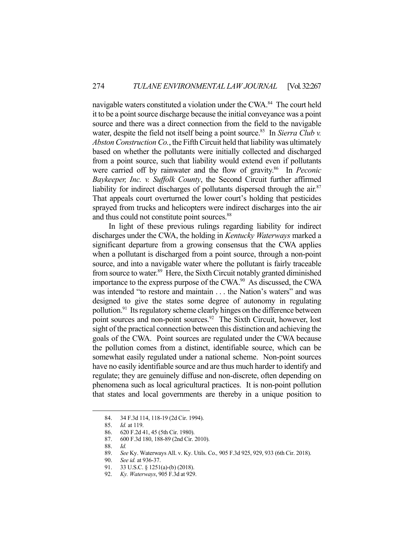navigable waters constituted a violation under the CWA.<sup>84</sup> The court held it to be a point source discharge because the initial conveyance was a point source and there was a direct connection from the field to the navigable water, despite the field not itself being a point source.<sup>85</sup> In *Sierra Club v. Abston Construction Co.*, the Fifth Circuit held that liability was ultimately based on whether the pollutants were initially collected and discharged from a point source, such that liability would extend even if pollutants were carried off by rainwater and the flow of gravity.<sup>86</sup> In *Peconic Baykeeper, Inc. v. Suffolk County*, the Second Circuit further affirmed liability for indirect discharges of pollutants dispersed through the air. $87$ That appeals court overturned the lower court's holding that pesticides sprayed from trucks and helicopters were indirect discharges into the air and thus could not constitute point sources.<sup>88</sup>

 In light of these previous rulings regarding liability for indirect discharges under the CWA, the holding in *Kentucky Waterways* marked a significant departure from a growing consensus that the CWA applies when a pollutant is discharged from a point source, through a non-point source, and into a navigable water where the pollutant is fairly traceable from source to water.<sup>89</sup> Here, the Sixth Circuit notably granted diminished importance to the express purpose of the CWA.<sup>90</sup> As discussed, the CWA was intended "to restore and maintain . . . the Nation's waters" and was designed to give the states some degree of autonomy in regulating pollution.<sup>91</sup> Its regulatory scheme clearly hinges on the difference between point sources and non-point sources.<sup>92</sup> The Sixth Circuit, however, lost sight of the practical connection between this distinction and achieving the goals of the CWA. Point sources are regulated under the CWA because the pollution comes from a distinct, identifiable source, which can be somewhat easily regulated under a national scheme. Non-point sources have no easily identifiable source and are thus much harder to identify and regulate; they are genuinely diffuse and non-discrete, often depending on phenomena such as local agricultural practices. It is non-point pollution that states and local governments are thereby in a unique position to

 <sup>84. 34</sup> F.3d 114, 118-19 (2d Cir. 1994).

 <sup>85.</sup> *Id.* at 119.

 <sup>86. 620</sup> F.2d 41, 45 (5th Cir. 1980).

 <sup>87. 600</sup> F.3d 180, 188-89 (2nd Cir. 2010).

 <sup>88.</sup> *Id.*

 <sup>89.</sup> *See* Ky. Waterways All. v. Ky. Utils. Co.*,* 905 F.3d 925, 929, 933 (6th Cir. 2018).

 <sup>90.</sup> *See id.* at 936-37.

 <sup>91. 33</sup> U.S.C. § 1251(a)-(b) (2018).

 <sup>92.</sup> *Ky. Waterways*, 905 F.3d at 929.